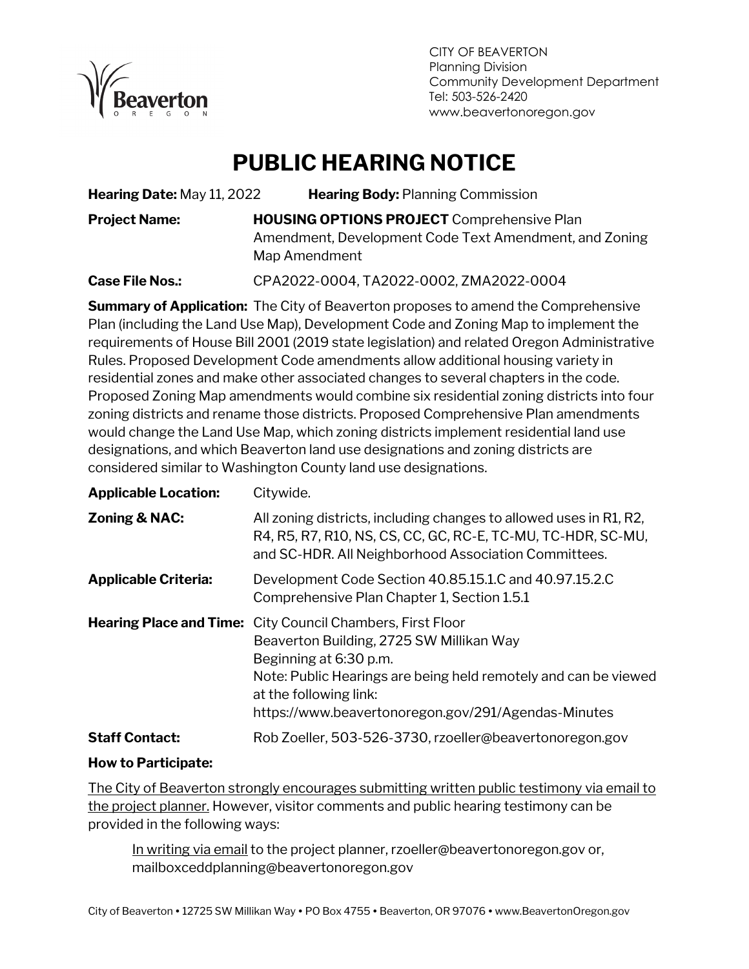

CITY OF BEAVERTON Planning Division Community Development Department Tel: 503-526-2420 www.beavertonoregon.gov

## **PUBLIC HEARING NOTICE**

**Hearing Date:** May 11, 2022 **Hearing Body:** Planning Commission **Project Name: HOUSING OPTIONS PROJECT** Comprehensive Plan Amendment, Development Code Text Amendment, and Zoning Map Amendment

**Case File Nos.:** CPA2022-0004, TA2022-0002, ZMA2022-0004

**Summary of Application:** The City of Beaverton proposes to amend the Comprehensive Plan (including the Land Use Map), Development Code and Zoning Map to implement the requirements of House Bill 2001 (2019 state legislation) and related Oregon Administrative Rules. Proposed Development Code amendments allow additional housing variety in residential zones and make other associated changes to several chapters in the code. Proposed Zoning Map amendments would combine six residential zoning districts into four zoning districts and rename those districts. Proposed Comprehensive Plan amendments would change the Land Use Map, which zoning districts implement residential land use designations, and which Beaverton land use designations and zoning districts are considered similar to Washington County land use designations.

| <b>Applicable Location:</b> | Citywide.                                                                                                                                                                                                                                                                                   |  |  |
|-----------------------------|---------------------------------------------------------------------------------------------------------------------------------------------------------------------------------------------------------------------------------------------------------------------------------------------|--|--|
| Zoning & NAC:               | All zoning districts, including changes to allowed uses in R1, R2,<br>R4, R5, R7, R10, NS, CS, CC, GC, RC-E, TC-MU, TC-HDR, SC-MU,<br>and SC-HDR. All Neighborhood Association Committees.                                                                                                  |  |  |
| <b>Applicable Criteria:</b> | Development Code Section 40.85.15.1.C and 40.97.15.2.C<br>Comprehensive Plan Chapter 1, Section 1.5.1                                                                                                                                                                                       |  |  |
|                             | <b>Hearing Place and Time:</b> City Council Chambers, First Floor<br>Beaverton Building, 2725 SW Millikan Way<br>Beginning at 6:30 p.m.<br>Note: Public Hearings are being held remotely and can be viewed<br>at the following link:<br>https://www.beavertonoregon.gov/291/Agendas-Minutes |  |  |
| <b>Staff Contact:</b>       | Rob Zoeller, 503-526-3730, rzoeller@beavertonoregon.gov                                                                                                                                                                                                                                     |  |  |

#### **How to Participate:**

The City of Beaverton strongly encourages submitting written public testimony via email to the project planner. However, visitor comments and public hearing testimony can be provided in the following ways:

In writing via email to the project planner, rzoeller@beavertonoregon.gov or, mailboxceddplanning@beavertonoregon.gov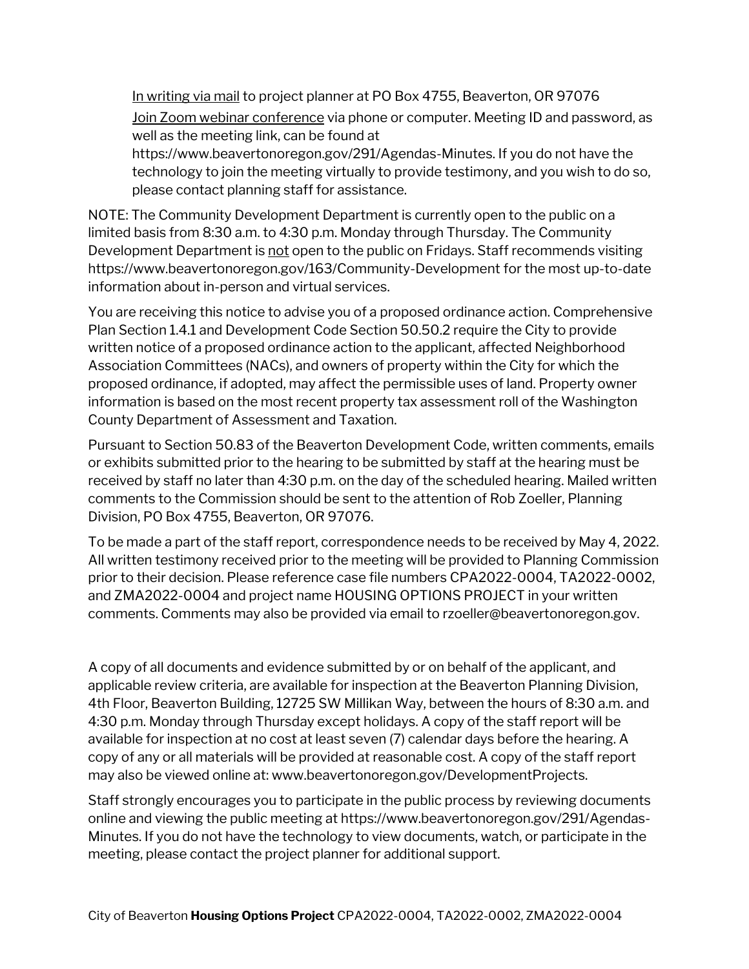In writing via mail to project planner at PO Box 4755, Beaverton, OR 97076

Join Zoom webinar conference via phone or computer. Meeting ID and password, as well as the meeting link, can be found at

https://www.beavertonoregon.gov/291/Agendas-Minutes. If you do not have the technology to join the meeting virtually to provide testimony, and you wish to do so, please contact planning staff for assistance.

NOTE: The Community Development Department is currently open to the public on a limited basis from 8:30 a.m. to 4:30 p.m. Monday through Thursday. The Community Development Department is not open to the public on Fridays. Staff recommends visiting https://www.beavertonoregon.gov/163/Community-Development for the most up-to-date information about in-person and virtual services.

You are receiving this notice to advise you of a proposed ordinance action. Comprehensive Plan Section 1.4.1 and Development Code Section 50.50.2 require the City to provide written notice of a proposed ordinance action to the applicant, affected Neighborhood Association Committees (NACs), and owners of property within the City for which the proposed ordinance, if adopted, may affect the permissible uses of land. Property owner information is based on the most recent property tax assessment roll of the Washington County Department of Assessment and Taxation.

Pursuant to Section 50.83 of the Beaverton Development Code, written comments, emails or exhibits submitted prior to the hearing to be submitted by staff at the hearing must be received by staff no later than 4:30 p.m. on the day of the scheduled hearing. Mailed written comments to the Commission should be sent to the attention of Rob Zoeller, Planning Division, PO Box 4755, Beaverton, OR 97076.

To be made a part of the staff report, correspondence needs to be received by May 4, 2022. All written testimony received prior to the meeting will be provided to Planning Commission prior to their decision. Please reference case file numbers CPA2022-0004, TA2022-0002, and ZMA2022-0004 and project name HOUSING OPTIONS PROJECT in your written comments. Comments may also be provided via email to rzoeller@beavertonoregon.gov.

A copy of all documents and evidence submitted by or on behalf of the applicant, and applicable review criteria, are available for inspection at the Beaverton Planning Division, 4th Floor, Beaverton Building, 12725 SW Millikan Way, between the hours of 8:30 a.m. and 4:30 p.m. Monday through Thursday except holidays. A copy of the staff report will be available for inspection at no cost at least seven (7) calendar days before the hearing. A copy of any or all materials will be provided at reasonable cost. A copy of the staff report may also be viewed online at: www.beavertonoregon.gov/DevelopmentProjects.

Staff strongly encourages you to participate in the public process by reviewing documents online and viewing the public meeting at https://www.beavertonoregon.gov/291/Agendas-Minutes. If you do not have the technology to view documents, watch, or participate in the meeting, please contact the project planner for additional support.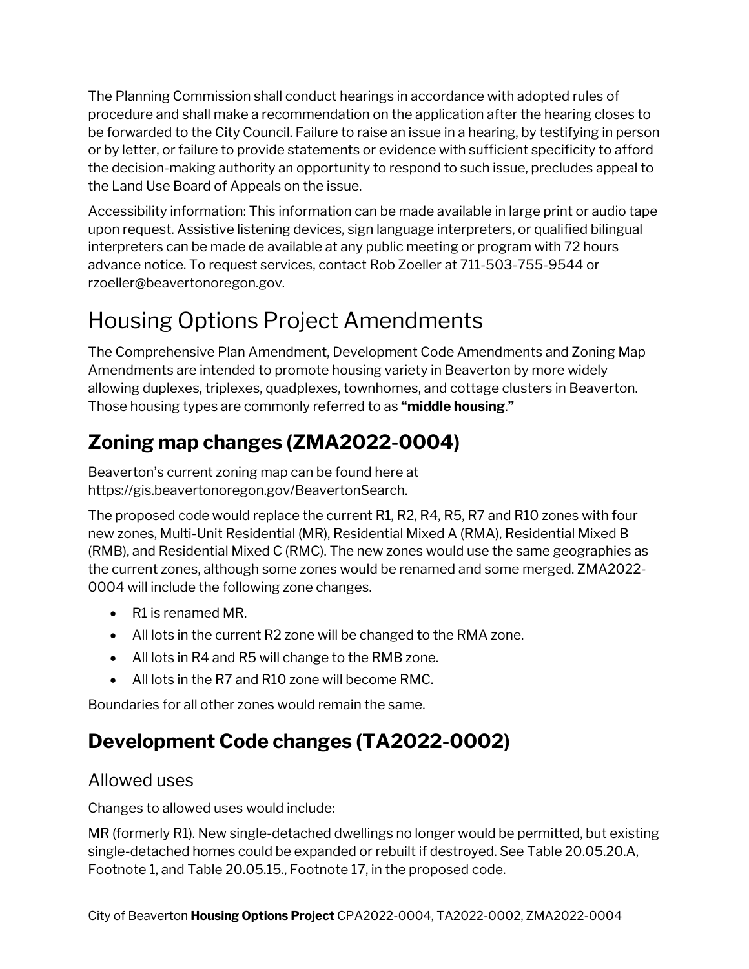The Planning Commission shall conduct hearings in accordance with adopted rules of procedure and shall make a recommendation on the application after the hearing closes to be forwarded to the City Council. Failure to raise an issue in a hearing, by testifying in person or by letter, or failure to provide statements or evidence with sufficient specificity to afford the decision-making authority an opportunity to respond to such issue, precludes appeal to the Land Use Board of Appeals on the issue.

Accessibility information: This information can be made available in large print or audio tape upon request. Assistive listening devices, sign language interpreters, or qualified bilingual interpreters can be made de available at any public meeting or program with 72 hours advance notice. To request services, contact Rob Zoeller at 711-503-755-9544 or rzoeller@beavertonoregon.gov.

# Housing Options Project Amendments

The Comprehensive Plan Amendment, Development Code Amendments and Zoning Map Amendments are intended to promote housing variety in Beaverton by more widely allowing duplexes, triplexes, quadplexes, townhomes, and cottage clusters in Beaverton. Those housing types are commonly referred to as **"middle housing**.**"**

## **Zoning map changes (ZMA2022-0004)**

Beaverton's current zoning map can be found here at https://gis.beavertonoregon.gov/BeavertonSearch.

The proposed code would replace the current R1, R2, R4, R5, R7 and R10 zones with four new zones, Multi-Unit Residential (MR), Residential Mixed A (RMA), Residential Mixed B (RMB), and Residential Mixed C (RMC). The new zones would use the same geographies as the current zones, although some zones would be renamed and some merged. ZMA2022- 0004 will include the following zone changes.

- R1 is renamed MR.
- All lots in the current R2 zone will be changed to the RMA zone.
- All lots in R4 and R5 will change to the RMB zone.
- All lots in the R7 and R10 zone will become RMC.

Boundaries for all other zones would remain the same.

### **Development Code changes (TA2022-0002)**

#### Allowed uses

Changes to allowed uses would include:

MR (formerly R1). New single-detached dwellings no longer would be permitted, but existing single-detached homes could be expanded or rebuilt if destroyed. See Table 20.05.20.A, Footnote 1, and Table 20.05.15., Footnote 17, in the proposed code.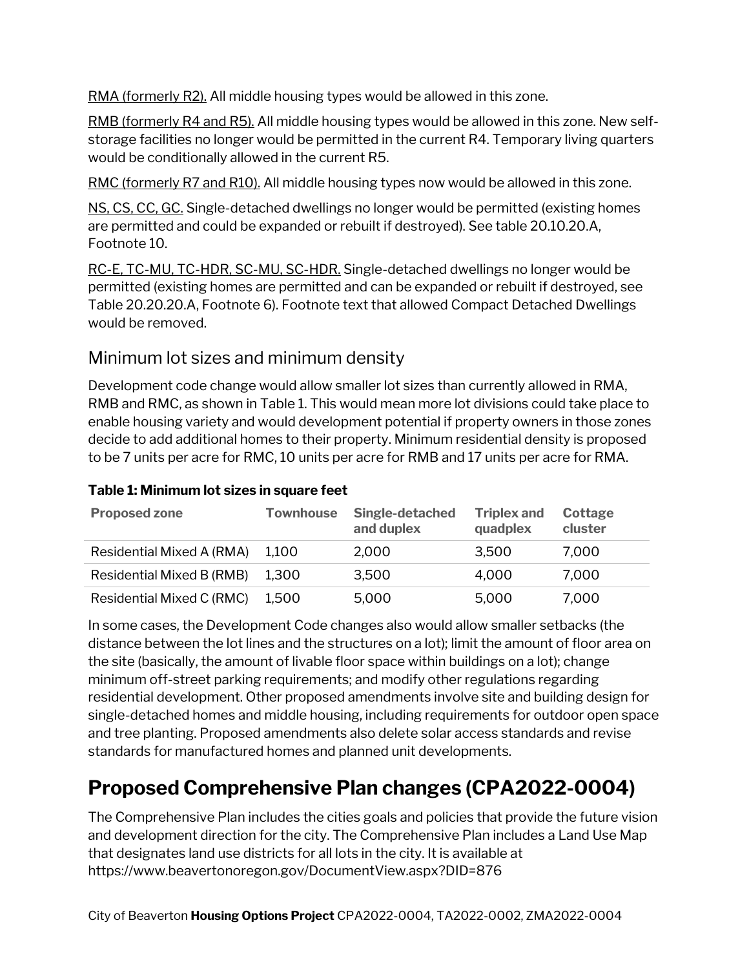RMA (formerly R2). All middle housing types would be allowed in this zone.

RMB (formerly R4 and R5). All middle housing types would be allowed in this zone. New selfstorage facilities no longer would be permitted in the current R4. Temporary living quarters would be conditionally allowed in the current R5.

RMC (formerly R7 and R10). All middle housing types now would be allowed in this zone.

NS, CS, CC, GC. Single-detached dwellings no longer would be permitted (existing homes are permitted and could be expanded or rebuilt if destroyed). See table 20.10.20.A, Footnote 10.

RC-E, TC-MU, TC-HDR, SC-MU, SC-HDR. Single-detached dwellings no longer would be permitted (existing homes are permitted and can be expanded or rebuilt if destroyed, see Table 20.20.20.A, Footnote 6). Footnote text that allowed Compact Detached Dwellings would be removed.

#### Minimum lot sizes and minimum density

Development code change would allow smaller lot sizes than currently allowed in RMA, RMB and RMC, as shown in Table 1. This would mean more lot divisions could take place to enable housing variety and would development potential if property owners in those zones decide to add additional homes to their property. Minimum residential density is proposed to be 7 units per acre for RMC, 10 units per acre for RMB and 17 units per acre for RMA.

| <b>Proposed zone</b>      | <b>Townhouse</b> | Single-detached<br>and duplex | <b>Triplex and</b><br>quadplex | Cottage<br>cluster |
|---------------------------|------------------|-------------------------------|--------------------------------|--------------------|
| Residential Mixed A (RMA) | 1.100            | 2,000                         | 3,500                          | 7.000              |
| Residential Mixed B (RMB) | 1.300            | 3,500                         | 4,000                          | 7.000              |
| Residential Mixed C (RMC) | 1,500            | 5,000                         | 5,000                          | 7,000              |

#### **Table 1: Minimum lot sizes in square feet**

In some cases, the Development Code changes also would allow smaller setbacks (the distance between the lot lines and the structures on a lot); limit the amount of floor area on the site (basically, the amount of livable floor space within buildings on a lot); change minimum off-street parking requirements; and modify other regulations regarding residential development. Other proposed amendments involve site and building design for single-detached homes and middle housing, including requirements for outdoor open space and tree planting. Proposed amendments also delete solar access standards and revise standards for manufactured homes and planned unit developments.

### **Proposed Comprehensive Plan changes (CPA2022-0004)**

The Comprehensive Plan includes the cities goals and policies that provide the future vision and development direction for the city. The Comprehensive Plan includes a Land Use Map that designates land use districts for all lots in the city. It is available at https://www.beavertonoregon.gov/DocumentView.aspx?DID=876